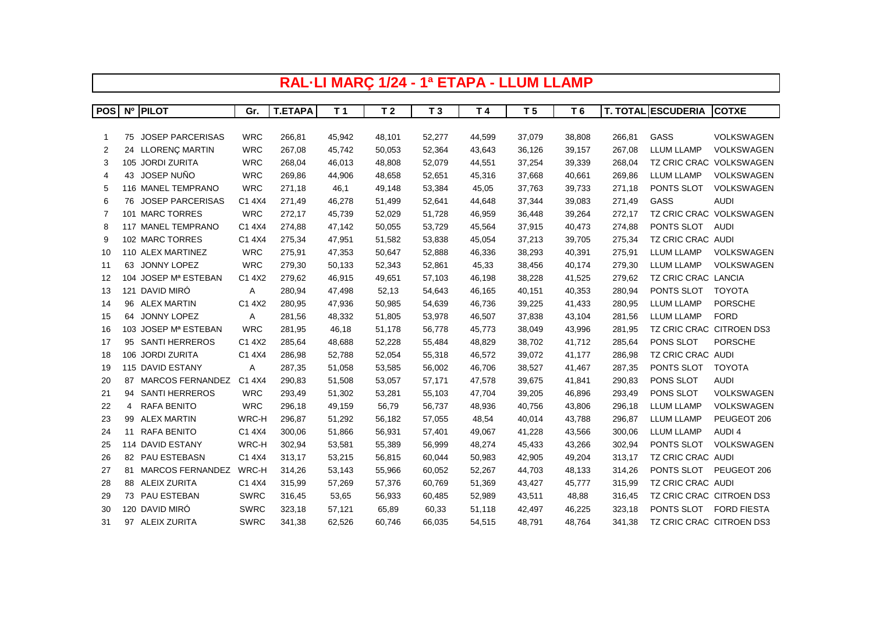|                  | RAL-LI MARÇ 1/24 - 1ª ETAPA - LLUM LLAMP |                         |             |                |                |                |                |        |                |        |        |                           |                    |
|------------------|------------------------------------------|-------------------------|-------------|----------------|----------------|----------------|----------------|--------|----------------|--------|--------|---------------------------|--------------------|
|                  |                                          |                         |             |                |                |                |                |        |                |        |        |                           |                    |
| POS <sup>I</sup> |                                          | Nº PILOT                | Gr.         | <b>T.ETAPA</b> | T <sub>1</sub> | T <sub>2</sub> | T <sub>3</sub> | T 4    | T <sub>5</sub> | T 6    |        | <b>T. TOTAL ESCUDERIA</b> | <b>COTXE</b>       |
|                  |                                          |                         |             |                |                |                |                |        |                |        |        |                           |                    |
| -1               |                                          | 75 JOSEP PARCERISAS     | <b>WRC</b>  | 266,81         | 45,942         | 48,101         | 52,277         | 44,599 | 37,079         | 38,808 | 266,81 | GASS                      | VOLKSWAGEN         |
| 2                |                                          | 24 LLORENÇ MARTIN       | <b>WRC</b>  | 267,08         | 45,742         | 50,053         | 52,364         | 43,643 | 36,126         | 39,157 | 267,08 | <b>LLUM LLAMP</b>         | VOLKSWAGEN         |
| 3                |                                          | 105 JORDI ZURITA        | <b>WRC</b>  | 268,04         | 46,013         | 48,808         | 52,079         | 44,551 | 37,254         | 39,339 | 268,04 | <b>TZ CRIC CRAC</b>       | VOLKSWAGEN         |
| 4                |                                          | 43 JOSEP NUÑO           | <b>WRC</b>  | 269,86         | 44,906         | 48,658         | 52,651         | 45,316 | 37,668         | 40,661 | 269,86 | <b>LLUM LLAMP</b>         | VOLKSWAGEN         |
| 5                |                                          | 116 MANEL TEMPRANO      | <b>WRC</b>  | 271,18         | 46,1           | 49,148         | 53,384         | 45,05  | 37,763         | 39,733 | 271,18 | PONTS SLOT                | VOLKSWAGEN         |
| 6                | 76                                       | <b>JOSEP PARCERISAS</b> | C1 4X4      | 271,49         | 46,278         | 51,499         | 52,641         | 44,648 | 37,344         | 39,083 | 271,49 | GASS                      | <b>AUDI</b>        |
| 7                |                                          | 101 MARC TORRES         | <b>WRC</b>  | 272,17         | 45,739         | 52,029         | 51,728         | 46,959 | 36,448         | 39,264 | 272,17 | TZ CRIC CRAC              | VOLKSWAGEN         |
| 8                |                                          | 117 MANEL TEMPRANO      | C1 4X4      | 274,88         | 47,142         | 50,055         | 53,729         | 45,564 | 37,915         | 40,473 | 274,88 | PONTS SLOT                | AUDI               |
| 9                |                                          | 102 MARC TORRES         | C1 4X4      | 275,34         | 47,951         | 51,582         | 53,838         | 45,054 | 37,213         | 39,705 | 275,34 | TZ CRIC CRAC AUDI         |                    |
| 10               |                                          | 110 ALEX MARTINEZ       | <b>WRC</b>  | 275,91         | 47,353         | 50,647         | 52,888         | 46,336 | 38,293         | 40,391 | 275,91 | <b>LLUM LLAMP</b>         | VOLKSWAGEN         |
| 11               |                                          | 63 JONNY LOPEZ          | <b>WRC</b>  | 279,30         | 50,133         | 52,343         | 52,861         | 45,33  | 38,456         | 40,174 | 279,30 | <b>LLUM LLAMP</b>         | VOLKSWAGEN         |
| 12               |                                          | 104 JOSEP Mª ESTEBAN    | C1 4X2      | 279,62         | 46,915         | 49,651         | 57,103         | 46,198 | 38,228         | 41,525 | 279,62 | TZ CRIC CRAC LANCIA       |                    |
| 13               |                                          | 121 DAVID MIRÓ          | Α           | 280,94         | 47,498         | 52,13          | 54,643         | 46,165 | 40,151         | 40,353 | 280,94 | PONTS SLOT                | <b>TOYOTA</b>      |
| 14               |                                          | 96 ALEX MARTIN          | C1 4X2      | 280,95         | 47,936         | 50,985         | 54,639         | 46,736 | 39,225         | 41,433 | 280,95 | <b>LLUM LLAMP</b>         | <b>PORSCHE</b>     |
| 15               | 64                                       | JONNY LOPEZ             | Α           | 281,56         | 48,332         | 51,805         | 53,978         | 46,507 | 37,838         | 43,104 | 281,56 | <b>LLUM LLAMP</b>         | <b>FORD</b>        |
| 16               |                                          | 103 JOSEP Mª ESTEBAN    | <b>WRC</b>  | 281,95         | 46,18          | 51,178         | 56,778         | 45,773 | 38,049         | 43,996 | 281,95 | TZ CRIC CRAC CITROEN DS3  |                    |
| 17               |                                          | 95 SANTI HERREROS       | C1 4X2      | 285,64         | 48,688         | 52,228         | 55,484         | 48,829 | 38,702         | 41,712 | 285,64 | PONS SLOT                 | <b>PORSCHE</b>     |
| 18               |                                          | 106 JORDI ZURITA        | C1 4X4      | 286,98         | 52,788         | 52,054         | 55,318         | 46,572 | 39,072         | 41,177 | 286,98 | TZ CRIC CRAC AUDI         |                    |
| 19               |                                          | 115 DAVID ESTANY        | Α           | 287,35         | 51,058         | 53,585         | 56,002         | 46,706 | 38,527         | 41,467 | 287,35 | PONTS SLOT                | <b>TOYOTA</b>      |
| 20               |                                          | 87 MARCOS FERNANDEZ     | C1 4X4      | 290,83         | 51,508         | 53,057         | 57,171         | 47,578 | 39,675         | 41,841 | 290,83 | PONS SLOT                 | <b>AUDI</b>        |
| 21               |                                          | 94 SANTI HERREROS       | <b>WRC</b>  | 293,49         | 51,302         | 53,281         | 55,103         | 47,704 | 39,205         | 46,896 | 293,49 | PONS SLOT                 | VOLKSWAGEN         |
| 22               | 4                                        | <b>RAFA BENITO</b>      | <b>WRC</b>  | 296,18         | 49,159         | 56,79          | 56,737         | 48,936 | 40,756         | 43,806 | 296,18 | <b>LLUM LLAMP</b>         | VOLKSWAGEN         |
| 23               |                                          | 99 ALEX MARTIN          | WRC-H       | 296,87         | 51,292         | 56,182         | 57,055         | 48,54  | 40,014         | 43,788 | 296,87 | <b>LLUM LLAMP</b>         | PEUGEOT 206        |
| 24               |                                          | 11 RAFA BENITO          | C1 4X4      | 300,06         | 51,866         | 56,931         | 57,401         | 49,067 | 41,228         | 43,566 | 300,06 | <b>LLUM LLAMP</b>         | AUDI 4             |
| 25               |                                          | 114 DAVID ESTANY        | WRC-H       | 302,94         | 53,581         | 55,389         | 56,999         | 48,274 | 45,433         | 43,266 | 302,94 | PONTS SLOT                | VOLKSWAGEN         |
| 26               |                                          | 82 PAU ESTEBASN         | C1 4X4      | 313,17         | 53,215         | 56,815         | 60,044         | 50,983 | 42,905         | 49,204 | 313,17 | TZ CRIC CRAC AUDI         |                    |
| 27               |                                          | 81 MARCOS FERNANDEZ     | WRC-H       | 314,26         | 53,143         | 55,966         | 60,052         | 52,267 | 44,703         | 48,133 | 314,26 | PONTS SLOT                | PEUGEOT 206        |
| 28               |                                          | 88 ALEIX ZURITA         | C1 4X4      | 315,99         | 57,269         | 57,376         | 60,769         | 51,369 | 43,427         | 45,777 | 315,99 | TZ CRIC CRAC AUDI         |                    |
| 29               |                                          | 73 PAU ESTEBAN          | <b>SWRC</b> | 316,45         | 53,65          | 56,933         | 60,485         | 52,989 | 43,511         | 48,88  | 316,45 | TZ CRIC CRAC CITROEN DS3  |                    |
| 30               |                                          | 120 DAVID MIRÓ          | <b>SWRC</b> | 323,18         | 57,121         | 65,89          | 60,33          | 51,118 | 42,497         | 46,225 | 323,18 | PONTS SLOT                | <b>FORD FIESTA</b> |
| 31               |                                          | 97 ALEIX ZURITA         | SWRC        | 341,38         | 62,526         | 60,746         | 66,035         | 54,515 | 48,791         | 48,764 | 341,38 | TZ CRIC CRAC CITROEN DS3  |                    |

 $\mathbf{I}$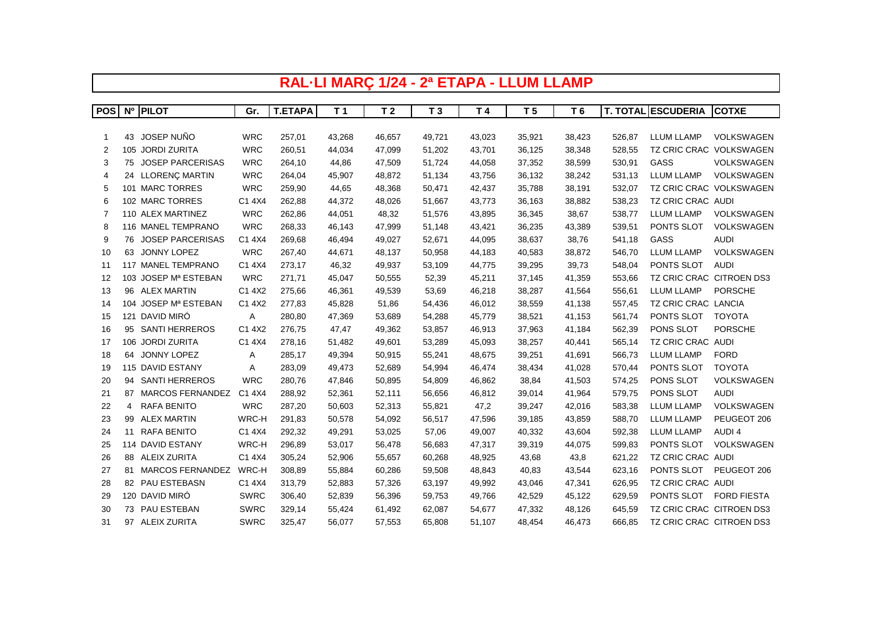|                  | RAL-LI MARÇ 1/24 - 2ª ETAPA - LLUM LLAMP |                         |             |                |                |                |                |        |                |        |        |                           |                         |
|------------------|------------------------------------------|-------------------------|-------------|----------------|----------------|----------------|----------------|--------|----------------|--------|--------|---------------------------|-------------------------|
|                  |                                          |                         |             |                |                |                |                |        |                |        |        |                           |                         |
| POS <sup>I</sup> |                                          | Nº PILOT                | Gr.         | <b>T.ETAPA</b> | T <sub>1</sub> | T <sub>2</sub> | T <sub>3</sub> | T 4    | T <sub>5</sub> | T 6    |        | <b>T. TOTAL ESCUDERIA</b> | <b>COTXE</b>            |
|                  |                                          |                         |             |                |                |                |                |        |                |        |        |                           |                         |
| 1                |                                          | 43 JOSEP NUÑO           | <b>WRC</b>  | 257,01         | 43,268         | 46,657         | 49,721         | 43,023 | 35,921         | 38,423 | 526,87 | <b>LLUM LLAMP</b>         | <b>VOLKSWAGEN</b>       |
| 2                |                                          | 105 JORDI ZURITA        | <b>WRC</b>  | 260,51         | 44,034         | 47,099         | 51,202         | 43,701 | 36,125         | 38,348 | 528,55 | <b>TZ CRIC CRAC</b>       | VOLKSWAGEN              |
| 3                | 75                                       | <b>JOSEP PARCERISAS</b> | <b>WRC</b>  | 264,10         | 44,86          | 47,509         | 51,724         | 44,058 | 37,352         | 38,599 | 530,91 | GASS                      | VOLKSWAGEN              |
| 4                |                                          | 24 LLORENÇ MARTIN       | <b>WRC</b>  | 264,04         | 45,907         | 48,872         | 51,134         | 43,756 | 36,132         | 38,242 | 531,13 | <b>LLUM LLAMP</b>         | VOLKSWAGEN              |
| 5                |                                          | 101 MARC TORRES         | <b>WRC</b>  | 259,90         | 44,65          | 48,368         | 50,471         | 42,437 | 35,788         | 38,191 | 532,07 |                           | TZ CRIC CRAC VOLKSWAGEN |
| 6                |                                          | 102 MARC TORRES         | C1 4X4      | 262,88         | 44,372         | 48,026         | 51,667         | 43,773 | 36,163         | 38,882 | 538,23 | TZ CRIC CRAC AUDI         |                         |
| 7                |                                          | 110 ALEX MARTINEZ       | <b>WRC</b>  | 262,86         | 44,051         | 48,32          | 51,576         | 43,895 | 36,345         | 38,67  | 538,77 | <b>LLUM LLAMP</b>         | <b>VOLKSWAGEN</b>       |
| 8                |                                          | 116 MANEL TEMPRANO      | <b>WRC</b>  | 268,33         | 46,143         | 47,999         | 51,148         | 43,421 | 36,235         | 43,389 | 539,51 | PONTS SLOT                | <b>VOLKSWAGEN</b>       |
| 9                |                                          | 76 JOSEP PARCERISAS     | C1 4X4      | 269,68         | 46,494         | 49,027         | 52,671         | 44,095 | 38,637         | 38,76  | 541,18 | GASS                      | <b>AUDI</b>             |
| 10               |                                          | 63 JONNY LOPEZ          | <b>WRC</b>  | 267,40         | 44,671         | 48,137         | 50,958         | 44,183 | 40,583         | 38,872 | 546,70 | <b>LLUM LLAMP</b>         | VOLKSWAGEN              |
| 11               |                                          | 117 MANEL TEMPRANO      | C1 4X4      | 273,17         | 46,32          | 49,937         | 53,109         | 44,775 | 39,295         | 39,73  | 548,04 | PONTS SLOT                | <b>AUDI</b>             |
| 12               |                                          | 103 JOSEP Mª ESTEBAN    | <b>WRC</b>  | 271,71         | 45,047         | 50,555         | 52,39          | 45,211 | 37,145         | 41,359 | 553,66 | TZ CRIC CRAC CITROEN DS3  |                         |
| 13               |                                          | 96 ALEX MARTIN          | C1 4X2      | 275,66         | 46,361         | 49,539         | 53,69          | 46,218 | 38,287         | 41,564 | 556,61 | <b>LLUM LLAMP</b>         | <b>PORSCHE</b>          |
| 14               |                                          | 104 JOSEP Mª ESTEBAN    | C1 4X2      | 277,83         | 45,828         | 51,86          | 54,436         | 46,012 | 38,559         | 41,138 | 557,45 | TZ CRIC CRAC LANCIA       |                         |
| 15               |                                          | 121 DAVID MIRÓ          | Α           | 280,80         | 47,369         | 53,689         | 54,288         | 45,779 | 38,521         | 41,153 | 561,74 | PONTS SLOT                | <b>TOYOTA</b>           |
| 16               |                                          | 95 SANTI HERREROS       | C1 4X2      | 276,75         | 47,47          | 49,362         | 53,857         | 46,913 | 37,963         | 41,184 | 562,39 | PONS SLOT                 | <b>PORSCHE</b>          |
| 17               |                                          | 106 JORDI ZURITA        | C1 4X4      | 278,16         | 51,482         | 49,601         | 53,289         | 45,093 | 38,257         | 40,441 | 565,14 | TZ CRIC CRAC              | AUDI                    |
| 18               | 64                                       | JONNY LOPEZ             | Α           | 285,17         | 49,394         | 50,915         | 55,241         | 48,675 | 39,251         | 41,691 | 566,73 | <b>LLUM LLAMP</b>         | <b>FORD</b>             |
| 19               |                                          | 115 DAVID ESTANY        | Α           | 283,09         | 49,473         | 52,689         | 54,994         | 46,474 | 38,434         | 41,028 | 570,44 | PONTS SLOT                | <b>TOYOTA</b>           |
| 20               | 94                                       | <b>SANTI HERREROS</b>   | <b>WRC</b>  | 280,76         | 47,846         | 50,895         | 54,809         | 46,862 | 38,84          | 41,503 | 574,25 | PONS SLOT                 | VOLKSWAGEN              |
| 21               |                                          | 87 MARCOS FERNANDEZ     | C1 4X4      | 288,92         | 52,361         | 52,111         | 56,656         | 46,812 | 39,014         | 41,964 | 579,75 | PONS SLOT                 | <b>AUDI</b>             |
| 22               | 4                                        | <b>RAFA BENITO</b>      | <b>WRC</b>  | 287,20         | 50,603         | 52,313         | 55,821         | 47,2   | 39,247         | 42,016 | 583,38 | LLUM LLAMP                | VOLKSWAGEN              |
| 23               |                                          | 99 ALEX MARTIN          | WRC-H       | 291,83         | 50,578         | 54,092         | 56,517         | 47,596 | 39,185         | 43,859 | 588,70 | <b>LLUM LLAMP</b>         | PEUGEOT 206             |
| 24               |                                          | 11 RAFA BENITO          | C1 4X4      | 292,32         | 49,291         | 53,025         | 57,06          | 49,007 | 40,332         | 43,604 | 592,38 | <b>LLUM LLAMP</b>         | AUDI 4                  |
| 25               |                                          | 114 DAVID ESTANY        | WRC-H       | 296,89         | 53,017         | 56,478         | 56,683         | 47,317 | 39,319         | 44,075 | 599,83 | PONTS SLOT                | VOLKSWAGEN              |
| 26               |                                          | 88 ALEIX ZURITA         | C1 4X4      | 305,24         | 52,906         | 55,657         | 60,268         | 48,925 | 43,68          | 43,8   | 621,22 | TZ CRIC CRAC AUDI         |                         |
| 27               |                                          | 81 MARCOS FERNANDEZ     | WRC-H       | 308,89         | 55,884         | 60,286         | 59,508         | 48,843 | 40,83          | 43,544 | 623,16 | PONTS SLOT                | PEUGEOT 206             |
| 28               |                                          | 82 PAU ESTEBASN         | C1 4X4      | 313,79         | 52,883         | 57,326         | 63,197         | 49,992 | 43,046         | 47,341 | 626,95 | TZ CRIC CRAC AUDI         |                         |
| 29               |                                          | 120 DAVID MIRÓ          | <b>SWRC</b> | 306,40         | 52,839         | 56,396         | 59,753         | 49,766 | 42,529         | 45,122 | 629,59 | PONTS SLOT                | <b>FORD FIESTA</b>      |
| 30               |                                          | 73 PAU ESTEBAN          | <b>SWRC</b> | 329,14         | 55,424         | 61,492         | 62,087         | 54,677 | 47,332         | 48,126 | 645,59 | TZ CRIC CRAC CITROEN DS3  |                         |
| 31               |                                          | 97 ALEIX ZURITA         | <b>SWRC</b> | 325,47         | 56,077         | 57,553         | 65,808         | 51,107 | 48,454         | 46,473 | 666,85 | TZ CRIC CRAC CITROEN DS3  |                         |

Г